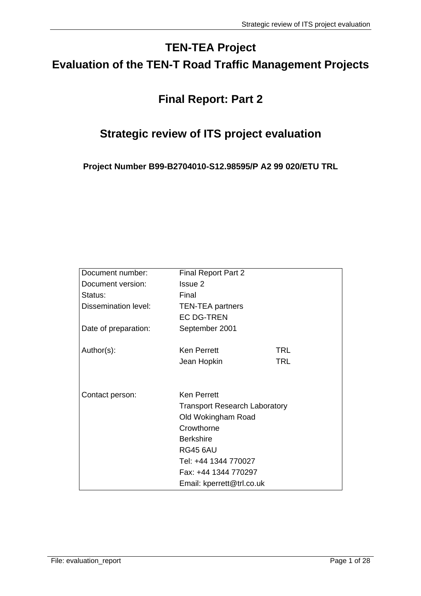# **TEN-TEA Project Evaluation of the TEN-T Road Traffic Management Projects**

# **Final Report: Part 2**

# **Strategic review of ITS project evaluation**

**Project Number B99-B2704010-S12.98595/P A2 99 020/ETU TRL** 

| Document number:     | <b>Final Report Part 2</b>           |            |
|----------------------|--------------------------------------|------------|
| Document version:    | Issue 2                              |            |
| Status:              | Final                                |            |
| Dissemination level: | <b>TEN-TEA partners</b>              |            |
|                      | <b>EC DG-TREN</b>                    |            |
| Date of preparation: | September 2001                       |            |
| Author(s):           | <b>Ken Perrett</b>                   | <b>TRL</b> |
|                      | Jean Hopkin                          | <b>TRL</b> |
|                      |                                      |            |
| Contact person:      | <b>Ken Perrett</b>                   |            |
|                      | <b>Transport Research Laboratory</b> |            |
|                      | Old Wokingham Road                   |            |
|                      | Crowthorne                           |            |
|                      | <b>Berkshire</b>                     |            |
|                      | <b>RG45 6AU</b>                      |            |
|                      | Tel: +44 1344 770027                 |            |
|                      | Fax: +44 1344 770297                 |            |
|                      | Email: kperrett@trl.co.uk            |            |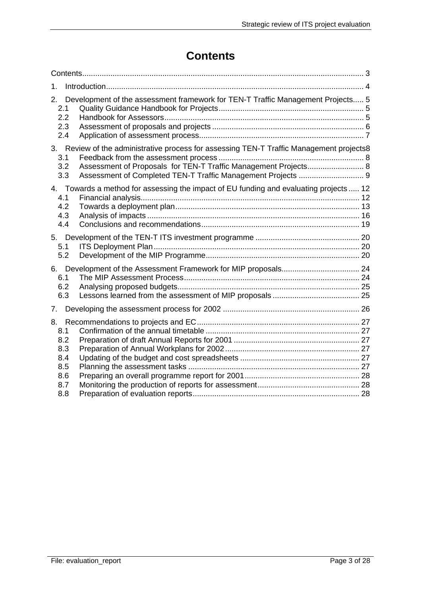# **Contents**

| 1.                                                                                                                                                                               |  |  |
|----------------------------------------------------------------------------------------------------------------------------------------------------------------------------------|--|--|
| Development of the assessment framework for TEN-T Traffic Management Projects 5<br>2.<br>2.1<br>2.2<br>2.3<br>2.4                                                                |  |  |
| 3. Review of the administrative process for assessing TEN-T Traffic Management projects8<br>3.1<br>Assessment of Proposals for TEN-T Traffic Management Projects 8<br>3.2<br>3.3 |  |  |
| 4. Towards a method for assessing the impact of EU funding and evaluating projects  12<br>4.1<br>4.2<br>4.3<br>4.4                                                               |  |  |
| 5.1<br>5.2                                                                                                                                                                       |  |  |
| 6.1<br>6.2<br>6.3                                                                                                                                                                |  |  |
| $7_{\scriptscriptstyle{\ddots}}$                                                                                                                                                 |  |  |
| 8.<br>8.1<br>8.2<br>8.3                                                                                                                                                          |  |  |
| 8.4<br>8.5<br>8.6<br>8.7                                                                                                                                                         |  |  |
| 8.8                                                                                                                                                                              |  |  |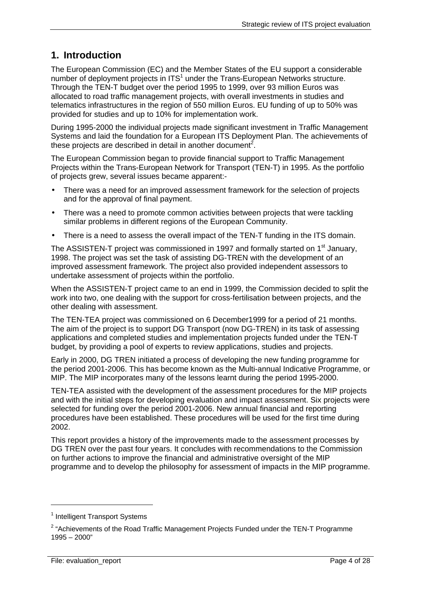# **1. Introduction**

The European Commission (EC) and the Member States of the EU support a considerable number of deployment projects in ITS<sup>1</sup> under the Trans-European Networks structure. Through the TEN-T budget over the period 1995 to 1999, over 93 million Euros was allocated to road traffic management projects, with overall investments in studies and telematics infrastructures in the region of 550 million Euros. EU funding of up to 50% was provided for studies and up to 10% for implementation work.

During 1995-2000 the individual projects made significant investment in Traffic Management Systems and laid the foundation for a European ITS Deployment Plan. The achievements of these projects are described in detail in another document<sup>2</sup>.

The European Commission began to provide financial support to Traffic Management Projects within the Trans-European Network for Transport (TEN-T) in 1995. As the portfolio of projects grew, several issues became apparent:-

- There was a need for an improved assessment framework for the selection of projects and for the approval of final payment.
- There was a need to promote common activities between projects that were tackling similar problems in different regions of the European Community.
- There is a need to assess the overall impact of the TEN-T funding in the ITS domain.

The ASSISTEN-T project was commissioned in 1997 and formally started on  $1<sup>st</sup>$  January, 1998. The project was set the task of assisting DG-TREN with the development of an improved assessment framework. The project also provided independent assessors to undertake assessment of projects within the portfolio.

When the ASSISTEN-T project came to an end in 1999, the Commission decided to split the work into two, one dealing with the support for cross-fertilisation between projects, and the other dealing with assessment.

The TEN-TEA project was commissioned on 6 December1999 for a period of 21 months. The aim of the project is to support DG Transport (now DG-TREN) in its task of assessing applications and completed studies and implementation projects funded under the TEN-T budget, by providing a pool of experts to review applications, studies and projects.

Early in 2000, DG TREN initiated a process of developing the new funding programme for the period 2001-2006. This has become known as the Multi-annual Indicative Programme, or MIP. The MIP incorporates many of the lessons learnt during the period 1995-2000.

TEN-TEA assisted with the development of the assessment procedures for the MIP projects and with the initial steps for developing evaluation and impact assessment. Six projects were selected for funding over the period 2001-2006. New annual financial and reporting procedures have been established. These procedures will be used for the first time during 2002.

This report provides a history of the improvements made to the assessment processes by DG TREN over the past four years. It concludes with recommendations to the Commission on further actions to improve the financial and administrative oversight of the MIP programme and to develop the philosophy for assessment of impacts in the MIP programme.

<sup>&</sup>lt;sup>1</sup> Intelligent Transport Systems

<sup>&</sup>lt;sup>2</sup> "Achievements of the Road Traffic Management Projects Funded under the TEN-T Programme 1995 – 2000"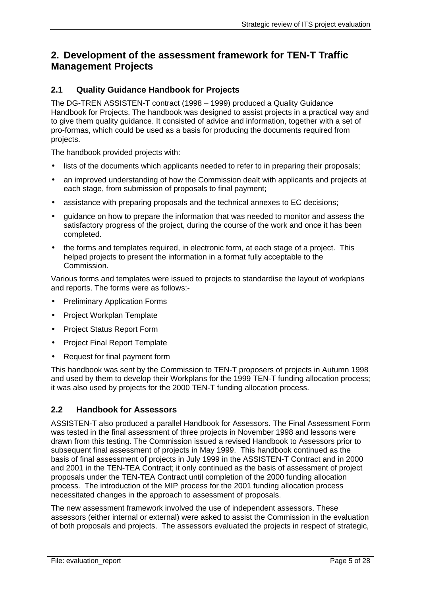## **2. Development of the assessment framework for TEN-T Traffic Management Projects**

### **2.1 Quality Guidance Handbook for Projects**

The DG-TREN ASSISTEN-T contract (1998 – 1999) produced a Quality Guidance Handbook for Projects. The handbook was designed to assist projects in a practical way and to give them quality guidance. It consisted of advice and information, together with a set of pro-formas, which could be used as a basis for producing the documents required from projects.

The handbook provided projects with:

- lists of the documents which applicants needed to refer to in preparing their proposals;
- an improved understanding of how the Commission dealt with applicants and projects at each stage, from submission of proposals to final payment;
- assistance with preparing proposals and the technical annexes to EC decisions;
- guidance on how to prepare the information that was needed to monitor and assess the satisfactory progress of the project, during the course of the work and once it has been completed.
- the forms and templates required, in electronic form, at each stage of a project. This helped projects to present the information in a format fully acceptable to the Commission.

Various forms and templates were issued to projects to standardise the layout of workplans and reports. The forms were as follows:-

- **Preliminary Application Forms**
- Project Workplan Template
- Project Status Report Form
- Project Final Report Template
- Request for final payment form

This handbook was sent by the Commission to TEN-T proposers of projects in Autumn 1998 and used by them to develop their Workplans for the 1999 TEN-T funding allocation process; it was also used by projects for the 2000 TEN-T funding allocation process.

#### **2.2 Handbook for Assessors**

ASSISTEN-T also produced a parallel Handbook for Assessors. The Final Assessment Form was tested in the final assessment of three projects in November 1998 and lessons were drawn from this testing. The Commission issued a revised Handbook to Assessors prior to subsequent final assessment of projects in May 1999. This handbook continued as the basis of final assessment of projects in July 1999 in the ASSISTEN-T Contract and in 2000 and 2001 in the TEN-TEA Contract; it only continued as the basis of assessment of project proposals under the TEN-TEA Contract until completion of the 2000 funding allocation process. The introduction of the MIP process for the 2001 funding allocation process necessitated changes in the approach to assessment of proposals.

The new assessment framework involved the use of independent assessors. These assessors (either internal or external) were asked to assist the Commission in the evaluation of both proposals and projects. The assessors evaluated the projects in respect of strategic,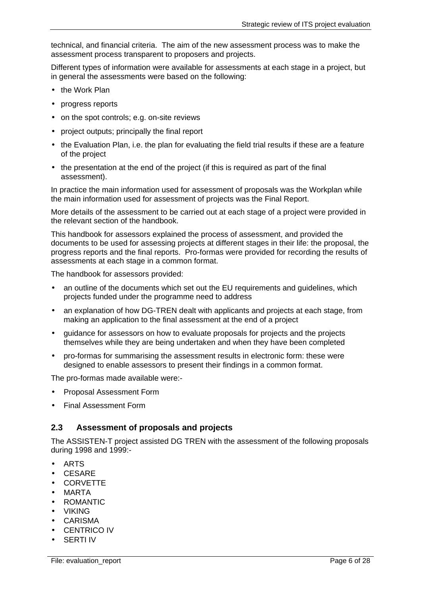technical, and financial criteria. The aim of the new assessment process was to make the assessment process transparent to proposers and projects.

Different types of information were available for assessments at each stage in a project, but in general the assessments were based on the following:

- the Work Plan
- progress reports
- on the spot controls; e.g. on-site reviews
- project outputs; principally the final report
- the Evaluation Plan, i.e. the plan for evaluating the field trial results if these are a feature of the project
- the presentation at the end of the project (if this is required as part of the final assessment).

In practice the main information used for assessment of proposals was the Workplan while the main information used for assessment of projects was the Final Report.

More details of the assessment to be carried out at each stage of a project were provided in the relevant section of the handbook.

This handbook for assessors explained the process of assessment, and provided the documents to be used for assessing projects at different stages in their life: the proposal, the progress reports and the final reports. Pro-formas were provided for recording the results of assessments at each stage in a common format.

The handbook for assessors provided:

- an outline of the documents which set out the EU requirements and guidelines, which projects funded under the programme need to address
- an explanation of how DG-TREN dealt with applicants and projects at each stage, from making an application to the final assessment at the end of a project
- guidance for assessors on how to evaluate proposals for projects and the projects themselves while they are being undertaken and when they have been completed
- pro-formas for summarising the assessment results in electronic form: these were designed to enable assessors to present their findings in a common format.

The pro-formas made available were:-

- Proposal Assessment Form
- Final Assessment Form

### **2.3 Assessment of proposals and projects**

The ASSISTEN-T project assisted DG TREN with the assessment of the following proposals during 1998 and 1999:-

- ARTS
- CESARE
- CORVETTE
- MARTA
- ROMANTIC
- VIKING
- CARISMA
- CENTRICO IV
- SERTI IV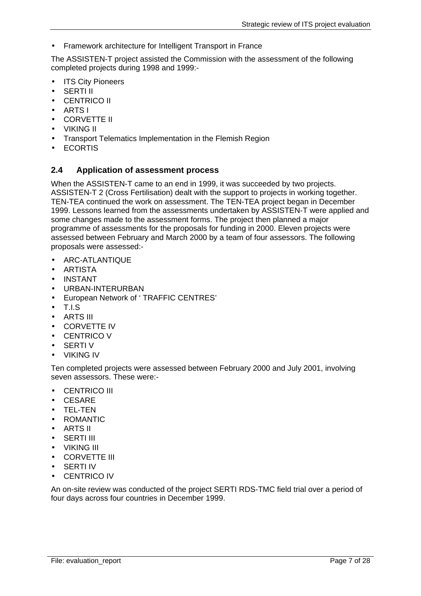• Framework architecture for Intelligent Transport in France

The ASSISTEN-T project assisted the Commission with the assessment of the following completed projects during 1998 and 1999:-

- **ITS City Pioneers**
- SERTI II
- CENTRICO II
- ARTS I
- CORVETTE II
- VIKING II
- Transport Telematics Implementation in the Flemish Region
- ECORTIS

### **2.4 Application of assessment process**

When the ASSISTEN-T came to an end in 1999, it was succeeded by two projects. ASSISTEN-T 2 (Cross Fertilisation) dealt with the support to projects in working together. TEN-TEA continued the work on assessment. The TEN-TEA project began in December 1999. Lessons learned from the assessments undertaken by ASSISTEN-T were applied and some changes made to the assessment forms. The project then planned a major programme of assessments for the proposals for funding in 2000. Eleven projects were assessed between February and March 2000 by a team of four assessors. The following proposals were assessed:-

- ARC-ATLANTIQUE
- ARTISTA
- INSTANT
- URBAN-INTERURBAN
- European Network of ' TRAFFIC CENTRES'
- T.I.S
- ARTS III
- CORVETTE IV
- CENTRICO V
- **SERTIV**
- VIKING IV

Ten completed projects were assessed between February 2000 and July 2001, involving seven assessors. These were:-

- CENTRICO III
- CESARE
- TEL-TEN
- ROMANTIC
- ARTS II
- SERTI III
- VIKING III
- CORVETTE III
- SERTI IV
- CENTRICO IV

An on-site review was conducted of the project SERTI RDS-TMC field trial over a period of four days across four countries in December 1999.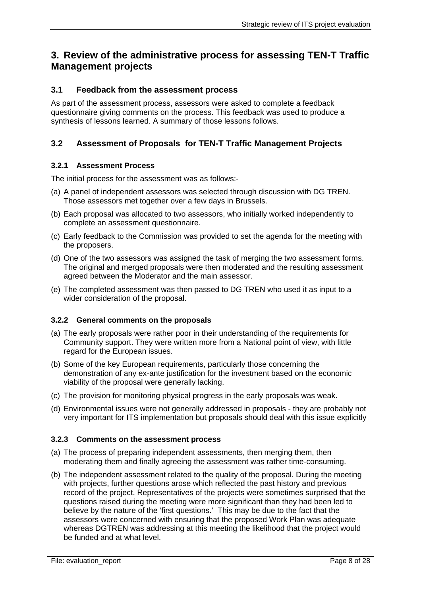## **3. Review of the administrative process for assessing TEN-T Traffic Management projects**

### **3.1 Feedback from the assessment process**

As part of the assessment process, assessors were asked to complete a feedback questionnaire giving comments on the process. This feedback was used to produce a synthesis of lessons learned. A summary of those lessons follows.

### **3.2 Assessment of Proposals for TEN-T Traffic Management Projects**

### **3.2.1 Assessment Process**

The initial process for the assessment was as follows:-

- (a) A panel of independent assessors was selected through discussion with DG TREN. Those assessors met together over a few days in Brussels.
- (b) Each proposal was allocated to two assessors, who initially worked independently to complete an assessment questionnaire.
- (c) Early feedback to the Commission was provided to set the agenda for the meeting with the proposers.
- (d) One of the two assessors was assigned the task of merging the two assessment forms. The original and merged proposals were then moderated and the resulting assessment agreed between the Moderator and the main assessor.
- (e) The completed assessment was then passed to DG TREN who used it as input to a wider consideration of the proposal.

#### **3.2.2 General comments on the proposals**

- (a) The early proposals were rather poor in their understanding of the requirements for Community support. They were written more from a National point of view, with little regard for the European issues.
- (b) Some of the key European requirements, particularly those concerning the demonstration of any ex-ante justification for the investment based on the economic viability of the proposal were generally lacking.
- (c) The provision for monitoring physical progress in the early proposals was weak.
- (d) Environmental issues were not generally addressed in proposals they are probably not very important for ITS implementation but proposals should deal with this issue explicitly

#### **3.2.3 Comments on the assessment process**

- (a) The process of preparing independent assessments, then merging them, then moderating them and finally agreeing the assessment was rather time-consuming.
- (b) The independent assessment related to the quality of the proposal. During the meeting with projects, further questions arose which reflected the past history and previous record of the project. Representatives of the projects were sometimes surprised that the questions raised during the meeting were more significant than they had been led to believe by the nature of the 'first questions.' This may be due to the fact that the assessors were concerned with ensuring that the proposed Work Plan was adequate whereas DGTREN was addressing at this meeting the likelihood that the project would be funded and at what level.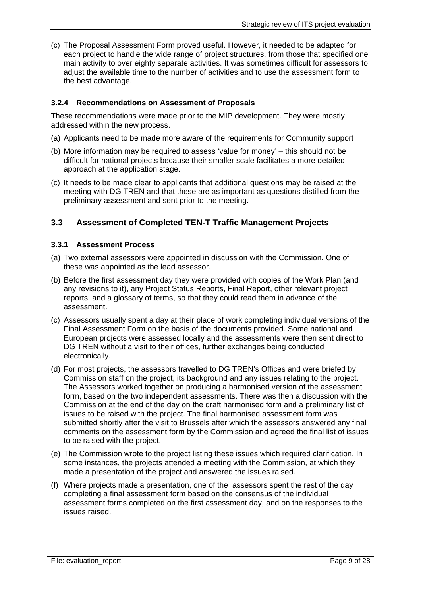(c) The Proposal Assessment Form proved useful. However, it needed to be adapted for each project to handle the wide range of project structures, from those that specified one main activity to over eighty separate activities. It was sometimes difficult for assessors to adjust the available time to the number of activities and to use the assessment form to the best advantage.

### **3.2.4 Recommendations on Assessment of Proposals**

These recommendations were made prior to the MIP development. They were mostly addressed within the new process.

- (a) Applicants need to be made more aware of the requirements for Community support
- (b) More information may be required to assess 'value for money' this should not be difficult for national projects because their smaller scale facilitates a more detailed approach at the application stage.
- (c) It needs to be made clear to applicants that additional questions may be raised at the meeting with DG TREN and that these are as important as questions distilled from the preliminary assessment and sent prior to the meeting.

### **3.3 Assessment of Completed TEN-T Traffic Management Projects**

### **3.3.1 Assessment Process**

- (a) Two external assessors were appointed in discussion with the Commission. One of these was appointed as the lead assessor.
- (b) Before the first assessment day they were provided with copies of the Work Plan (and any revisions to it), any Project Status Reports, Final Report, other relevant project reports, and a glossary of terms, so that they could read them in advance of the assessment.
- (c) Assessors usually spent a day at their place of work completing individual versions of the Final Assessment Form on the basis of the documents provided. Some national and European projects were assessed locally and the assessments were then sent direct to DG TREN without a visit to their offices, further exchanges being conducted electronically.
- (d) For most projects, the assessors travelled to DG TREN's Offices and were briefed by Commission staff on the project, its background and any issues relating to the project. The Assessors worked together on producing a harmonised version of the assessment form, based on the two independent assessments. There was then a discussion with the Commission at the end of the day on the draft harmonised form and a preliminary list of issues to be raised with the project. The final harmonised assessment form was submitted shortly after the visit to Brussels after which the assessors answered any final comments on the assessment form by the Commission and agreed the final list of issues to be raised with the project.
- (e) The Commission wrote to the project listing these issues which required clarification. In some instances, the projects attended a meeting with the Commission, at which they made a presentation of the project and answered the issues raised.
- (f) Where projects made a presentation, one of the assessors spent the rest of the day completing a final assessment form based on the consensus of the individual assessment forms completed on the first assessment day, and on the responses to the issues raised.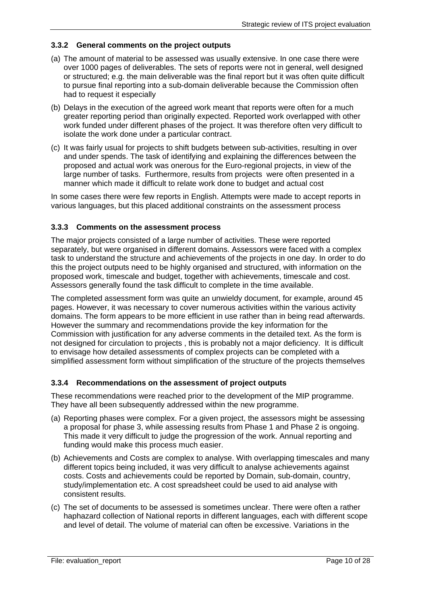### **3.3.2 General comments on the project outputs**

- (a) The amount of material to be assessed was usually extensive. In one case there were over 1000 pages of deliverables. The sets of reports were not in general, well designed or structured; e.g. the main deliverable was the final report but it was often quite difficult to pursue final reporting into a sub-domain deliverable because the Commission often had to request it especially
- (b) Delays in the execution of the agreed work meant that reports were often for a much greater reporting period than originally expected. Reported work overlapped with other work funded under different phases of the project. It was therefore often very difficult to isolate the work done under a particular contract.
- (c) It was fairly usual for projects to shift budgets between sub-activities, resulting in over and under spends. The task of identifying and explaining the differences between the proposed and actual work was onerous for the Euro-regional projects, in view of the large number of tasks. Furthermore, results from projects were often presented in a manner which made it difficult to relate work done to budget and actual cost

In some cases there were few reports in English. Attempts were made to accept reports in various languages, but this placed additional constraints on the assessment process

#### **3.3.3 Comments on the assessment process**

The major projects consisted of a large number of activities. These were reported separately, but were organised in different domains. Assessors were faced with a complex task to understand the structure and achievements of the projects in one day. In order to do this the project outputs need to be highly organised and structured, with information on the proposed work, timescale and budget, together with achievements, timescale and cost. Assessors generally found the task difficult to complete in the time available.

The completed assessment form was quite an unwieldy document, for example, around 45 pages. However, it was necessary to cover numerous activities within the various activity domains. The form appears to be more efficient in use rather than in being read afterwards. However the summary and recommendations provide the key information for the Commission with justification for any adverse comments in the detailed text. As the form is not designed for circulation to projects , this is probably not a major deficiency. It is difficult to envisage how detailed assessments of complex projects can be completed with a simplified assessment form without simplification of the structure of the projects themselves

#### **3.3.4 Recommendations on the assessment of project outputs**

These recommendations were reached prior to the development of the MIP programme. They have all been subsequently addressed within the new programme.

- (a) Reporting phases were complex. For a given project, the assessors might be assessing a proposal for phase 3, while assessing results from Phase 1 and Phase 2 is ongoing. This made it very difficult to judge the progression of the work. Annual reporting and funding would make this process much easier.
- (b) Achievements and Costs are complex to analyse. With overlapping timescales and many different topics being included, it was very difficult to analyse achievements against costs. Costs and achievements could be reported by Domain, sub-domain, country, study/implementation etc. A cost spreadsheet could be used to aid analyse with consistent results.
- (c) The set of documents to be assessed is sometimes unclear. There were often a rather haphazard collection of National reports in different languages, each with different scope and level of detail. The volume of material can often be excessive. Variations in the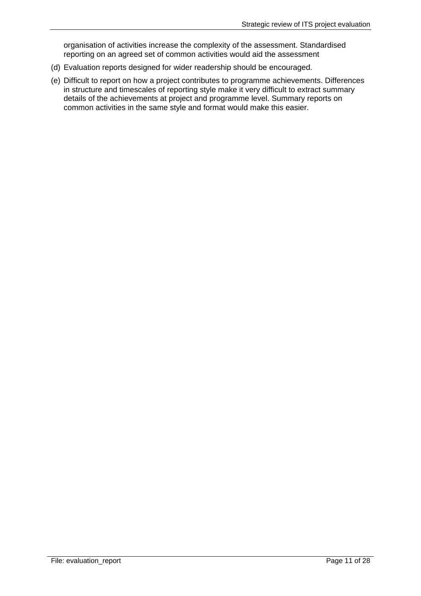organisation of activities increase the complexity of the assessment. Standardised reporting on an agreed set of common activities would aid the assessment

- (d) Evaluation reports designed for wider readership should be encouraged.
- (e) Difficult to report on how a project contributes to programme achievements. Differences in structure and timescales of reporting style make it very difficult to extract summary details of the achievements at project and programme level. Summary reports on common activities in the same style and format would make this easier.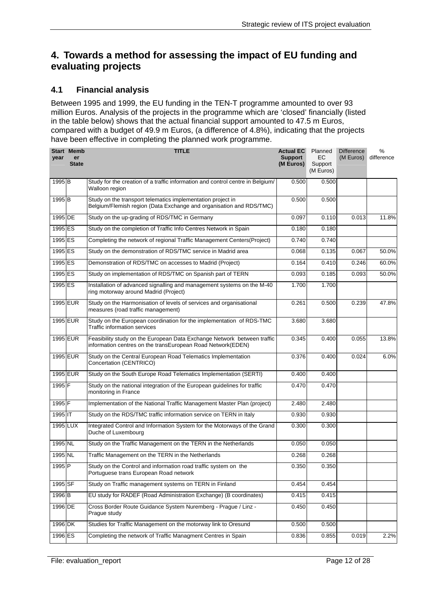## **4. Towards a method for assessing the impact of EU funding and evaluating projects**

### **4.1 Financial analysis**

Between 1995 and 1999, the EU funding in the TEN-T programme amounted to over 93 million Euros. Analysis of the projects in the programme which are 'closed' financially (listed in the table below) shows that the actual financial support amounted to 47.5 m Euros, compared with a budget of 49.9 m Euros, (a difference of 4.8%), indicating that the projects have been effective in completing the planned work programme.

| year              | <b>Start Memb</b><br>er<br><b>State</b> | <b>TITLE</b>                                                                                                                           | <b>Actual EC</b><br><b>Support</b><br>(M Euros) | Planned<br>ЕC<br>Support<br>(M Euros) | <b>Difference</b><br>(M Euros) | %<br>difference |
|-------------------|-----------------------------------------|----------------------------------------------------------------------------------------------------------------------------------------|-------------------------------------------------|---------------------------------------|--------------------------------|-----------------|
| 1995 <sub>B</sub> |                                         | Study for the creation of a traffic information and control centre in Belgium/<br>Walloon region                                       | 0.500                                           | 0.500                                 |                                |                 |
| 1995 <sub>B</sub> |                                         | Study on the transport telematics implementation project in<br>Belgium/Flemish region (Data Exchange and organisation and RDS/TMC)     | 0.500                                           | 0.500                                 |                                |                 |
| 1995 DE           |                                         | Study on the up-grading of RDS/TMC in Germany                                                                                          | 0.097                                           | 0.110                                 | 0.013                          | 11.8%           |
| 1995 ES           |                                         | Study on the completion of Traffic Info Centres Network in Spain                                                                       | 0.180                                           | 0.180                                 |                                |                 |
| 1995 ES           |                                         | Completing the network of regional Traffic Management Centers(Project)                                                                 | 0.740                                           | 0.740                                 |                                |                 |
| 1995 ES           |                                         | Study on the demonstration of RDS/TMC service in Madrid area                                                                           | 0.068                                           | 0.135                                 | 0.067                          | 50.0%           |
| 1995 ES           |                                         | Demonstration of RDS/TMC on accesses to Madrid (Project)                                                                               | 0.164                                           | 0.410                                 | 0.246                          | 60.0%           |
| 1995 ES           |                                         | Study on implementation of RDS/TMC on Spanish part of TERN                                                                             | 0.093                                           | 0.185                                 | 0.093                          | 50.0%           |
| 1995 ES           |                                         | Installation of advanced signalling and management systems on the M-40<br>ring motorway around Madrid (Project)                        | 1.700                                           | 1.700                                 |                                |                 |
|                   | 1995 EUR                                | Study on the Harmonisation of levels of services and organisational<br>measures (road traffic management)                              | 0.261                                           | 0.500                                 | 0.239                          | 47.8%           |
|                   | 1995 EUR                                | Study on the European coordination for the implementation of RDS-TMC<br><b>Traffic information services</b>                            | 3.680                                           | 3.680                                 |                                |                 |
|                   | 1995 EUR                                | Feasibility study on the European Data Exchange Network between traffic<br>information centres on the transEuropean Road Network(EDEN) | 0.345                                           | 0.400                                 | 0.055                          | 13.8%           |
|                   | 1995 EUR                                | Study on the Central European Road Telematics Implementation<br>Concertation (CENTRICO)                                                | 0.376                                           | 0.400                                 | 0.024                          | 6.0%            |
|                   | 1995 EUR                                | Study on the South Europe Road Telematics Implementation (SERTI)                                                                       | 0.400                                           | 0.400                                 |                                |                 |
| 1995 F            |                                         | Study on the national integration of the European guidelines for traffic<br>monitoring in France                                       | 0.470                                           | 0.470                                 |                                |                 |
| 1995 F            |                                         | Implementation of the National Traffic Management Master Plan (project)                                                                | 2.480                                           | 2.480                                 |                                |                 |
| 1995 IT           |                                         | Study on the RDS/TMC traffic information service on TERN in Italy                                                                      | 0.930                                           | 0.930                                 |                                |                 |
| 1995 LUX          |                                         | Integrated Control and Information System for the Motorways of the Grand<br>Duche of Luxembourg                                        | 0.300                                           | 0.300                                 |                                |                 |
| 1995 NL           |                                         | Study on the Traffic Management on the TERN in the Netherlands                                                                         | 0.050                                           | 0.050                                 |                                |                 |
| 1995 NL           |                                         | Traffic Management on the TERN in the Netherlands                                                                                      | 0.268                                           | 0.268                                 |                                |                 |
| 1995 <sub>P</sub> |                                         | Study on the Control and information road traffic system on the<br>Portuguese trans European Road network                              | 0.350                                           | 0.350                                 |                                |                 |
| 1995 SF           |                                         | Study on Traffic management systems on TERN in Finland                                                                                 | 0.454                                           | 0.454                                 |                                |                 |
| 1996 <sub>B</sub> |                                         | EU study for RADEF (Road Administration Exchange) (B coordinates)                                                                      | 0.415                                           | 0.415                                 |                                |                 |
| 1996 DE           |                                         | Cross Border Route Guidance System Nuremberg - Prague / Linz -<br>Prague study                                                         | 0.450                                           | 0.450                                 |                                |                 |
| 1996 DK           |                                         | Studies for Traffic Management on the motorway link to Oresund                                                                         | 0.500                                           | 0.500                                 |                                |                 |
| 1996 ES           |                                         | Completing the network of Traffic Managment Centres in Spain                                                                           | 0.836                                           | 0.855                                 | 0.019                          | 2.2%            |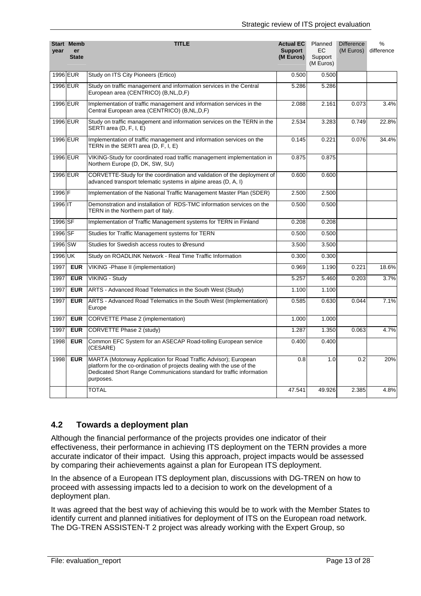| year    | <b>Start Memb</b><br>er<br><b>State</b> | <b>TITLE</b>                                                                                                                                                                                                                    | <b>Actual EC</b><br><b>Support</b><br>(M Euros) | Planned<br><b>EC</b><br>Support<br>(M Euros) | <b>Difference</b><br>(M Euros) | ℅<br>difference |
|---------|-----------------------------------------|---------------------------------------------------------------------------------------------------------------------------------------------------------------------------------------------------------------------------------|-------------------------------------------------|----------------------------------------------|--------------------------------|-----------------|
|         | 1996 EUR                                | Study on ITS City Pioneers (Ertico)                                                                                                                                                                                             | 0.500                                           | 0.500                                        |                                |                 |
|         | 1996 EUR                                | Study on traffic management and information services in the Central<br>European area (CENTRICO) (B,NL,D,F)                                                                                                                      | 5.286                                           | 5.286                                        |                                |                 |
|         | 1996 EUR                                | Implementation of traffic management and information services in the<br>Central European area (CENTRICO) (B,NL,D,F)                                                                                                             | 2.088                                           | 2.161                                        | 0.073                          | 3.4%            |
|         | 1996 EUR                                | Study on traffic management and information services on the TERN in the<br>SERTI area (D, F, I, E)                                                                                                                              | 2.534                                           | 3.283                                        | 0.749                          | 22.8%           |
|         | 1996 EUR                                | Implementation of traffic management and information services on the<br>TERN in the SERTI area (D, F, I, E)                                                                                                                     | 0.145                                           | 0.221                                        | 0.076                          | 34.4%           |
|         | 1996 EUR                                | VIKING-Study for coordinated road traffic management implementation in<br>Northern Europe (D, DK, SW, SU)                                                                                                                       | 0.875                                           | 0.875                                        |                                |                 |
|         | 1996 EUR                                | CORVETTE-Study for the coordination and validation of the deployment of<br>advanced transport telematic systems in alpine areas (D, A, I)                                                                                       | 0.600                                           | 0.600                                        |                                |                 |
| 1996 F  |                                         | Implementation of the National Traffic Management Master Plan (SDER)                                                                                                                                                            | 2.500                                           | 2.500                                        |                                |                 |
| 1996 IT |                                         | Demonstration and installation of RDS-TMC information services on the<br>TERN in the Northern part of Italy.                                                                                                                    | 0.500                                           | 0.500                                        |                                |                 |
| 1996 SF |                                         | Implementation of Traffic Management systems for TERN in Finland                                                                                                                                                                | 0.208                                           | 0.208                                        |                                |                 |
| 1996 SF |                                         | Studies for Traffic Management systems for TERN                                                                                                                                                                                 | 0.500                                           | 0.500                                        |                                |                 |
| 1996 SW |                                         | Studies for Swedish access routes to Øresund                                                                                                                                                                                    | 3.500                                           | 3.500                                        |                                |                 |
| 1996 UK |                                         | Study on ROADLINK Network - Real Time Traffic Information                                                                                                                                                                       | 0.300                                           | 0.300                                        |                                |                 |
| 1997    | <b>EUR</b>                              | VIKING - Phase II (implementation)                                                                                                                                                                                              | 0.969                                           | 1.190                                        | 0.221                          | 18.6%           |
| 1997    | <b>EUR</b>                              | VIKING - Study                                                                                                                                                                                                                  | 5.257                                           | 5.460                                        | 0.203                          | 3.7%            |
| 1997    | <b>EUR</b>                              | ARTS - Advanced Road Telematics in the South West (Study)                                                                                                                                                                       | 1.100                                           | 1.100                                        |                                |                 |
| 1997    | <b>EUR</b>                              | ARTS - Advanced Road Telematics in the South West (Implementation)<br>Europe                                                                                                                                                    | 0.585                                           | 0.630                                        | 0.044                          | 7.1%            |
| 1997    | <b>EUR</b>                              | <b>CORVETTE Phase 2 (implementation)</b>                                                                                                                                                                                        | 1.000                                           | 1.000                                        |                                |                 |
| 1997    | <b>EUR</b>                              | CORVETTE Phase 2 (study)                                                                                                                                                                                                        | 1.287                                           | 1.350                                        | 0.063                          | 4.7%            |
| 1998    | <b>EUR</b>                              | Common EFC System for an ASECAP Road-tolling European service<br>(CESARE)                                                                                                                                                       | 0.400                                           | 0.400                                        |                                |                 |
| 1998    | <b>EUR</b>                              | MARTA (Motorway Application for Road Traffic Advisor); European<br>platform for the co-ordination of projects dealing with the use of the<br>Dedicated Short Range Communications standard for traffic information<br>purposes. | 0.8                                             | 1.0                                          | 0.2                            | 20%             |
|         |                                         | <b>TOTAL</b>                                                                                                                                                                                                                    | 47.541                                          | 49.926                                       | 2.385                          | 4.8%            |

### **4.2 Towards a deployment plan**

Although the financial performance of the projects provides one indicator of their effectiveness, their performance in achieving ITS deployment on the TERN provides a more accurate indicator of their impact. Using this approach, project impacts would be assessed by comparing their achievements against a plan for European ITS deployment.

In the absence of a European ITS deployment plan, discussions with DG-TREN on how to proceed with assessing impacts led to a decision to work on the development of a deployment plan.

It was agreed that the best way of achieving this would be to work with the Member States to identify current and planned initiatives for deployment of ITS on the European road network. The DG-TREN ASSISTEN-T 2 project was already working with the Expert Group, so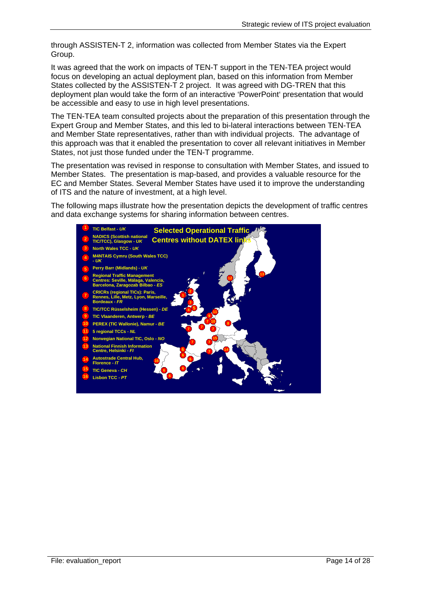through ASSISTEN-T 2, information was collected from Member States via the Expert Group.

It was agreed that the work on impacts of TEN-T support in the TEN-TEA project would focus on developing an actual deployment plan, based on this information from Member States collected by the ASSISTEN-T 2 project. It was agreed with DG-TREN that this deployment plan would take the form of an interactive 'PowerPoint' presentation that would be accessible and easy to use in high level presentations.

The TEN-TEA team consulted projects about the preparation of this presentation through the Expert Group and Member States, and this led to bi-lateral interactions between TEN-TEA and Member State representatives, rather than with individual projects. The advantage of this approach was that it enabled the presentation to cover all relevant initiatives in Member States, not just those funded under the TEN-T programme.

The presentation was revised in response to consultation with Member States, and issued to Member States. The presentation is map-based, and provides a valuable resource for the EC and Member States. Several Member States have used it to improve the understanding of ITS and the nature of investment, at a high level.

The following maps illustrate how the presentation depicts the development of traffic centres and data exchange systems for sharing information between centres.

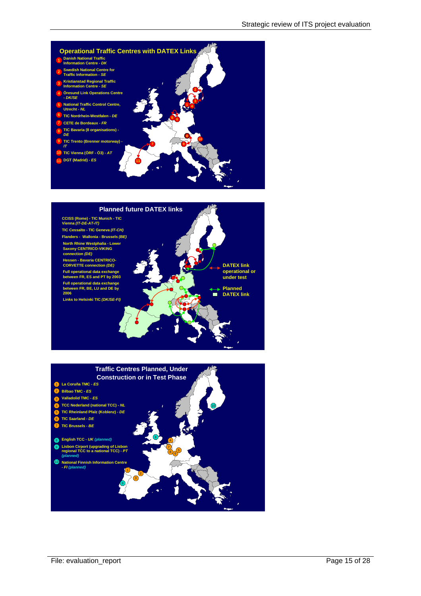



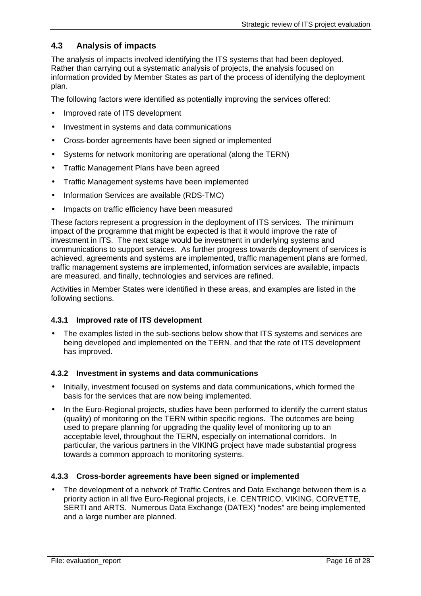### **4.3 Analysis of impacts**

The analysis of impacts involved identifying the ITS systems that had been deployed. Rather than carrying out a systematic analysis of projects, the analysis focused on information provided by Member States as part of the process of identifying the deployment plan.

The following factors were identified as potentially improving the services offered:

- Improved rate of ITS development
- Investment in systems and data communications
- Cross-border agreements have been signed or implemented
- Systems for network monitoring are operational (along the TERN)
- Traffic Management Plans have been agreed
- Traffic Management systems have been implemented
- Information Services are available (RDS-TMC)
- Impacts on traffic efficiency have been measured

These factors represent a progression in the deployment of ITS services. The minimum impact of the programme that might be expected is that it would improve the rate of investment in ITS. The next stage would be investment in underlying systems and communications to support services. As further progress towards deployment of services is achieved, agreements and systems are implemented, traffic management plans are formed, traffic management systems are implemented, information services are available, impacts are measured, and finally, technologies and services are refined.

Activities in Member States were identified in these areas, and examples are listed in the following sections.

#### **4.3.1 Improved rate of ITS development**

• The examples listed in the sub-sections below show that ITS systems and services are being developed and implemented on the TERN, and that the rate of ITS development has improved.

#### **4.3.2 Investment in systems and data communications**

- Initially, investment focused on systems and data communications, which formed the basis for the services that are now being implemented.
- In the Euro-Regional projects, studies have been performed to identify the current status (quality) of monitoring on the TERN within specific regions. The outcomes are being used to prepare planning for upgrading the quality level of monitoring up to an acceptable level, throughout the TERN, especially on international corridors. In particular, the various partners in the VIKING project have made substantial progress towards a common approach to monitoring systems.

#### **4.3.3 Cross-border agreements have been signed or implemented**

• The development of a network of Traffic Centres and Data Exchange between them is a priority action in all five Euro-Regional projects, i.e. CENTRICO, VIKING, CORVETTE, SERTI and ARTS. Numerous Data Exchange (DATEX) "nodes" are being implemented and a large number are planned.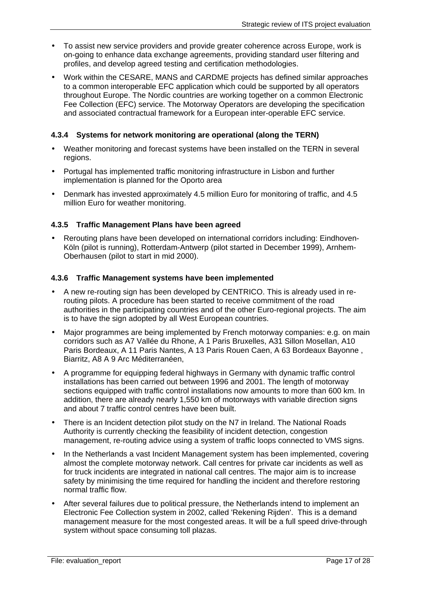- To assist new service providers and provide greater coherence across Europe, work is on-going to enhance data exchange agreements, providing standard user filtering and profiles, and develop agreed testing and certification methodologies.
- Work within the CESARE, MANS and CARDME projects has defined similar approaches to a common interoperable EFC application which could be supported by all operators throughout Europe. The Nordic countries are working together on a common Electronic Fee Collection (EFC) service. The Motorway Operators are developing the specification and associated contractual framework for a European inter-operable EFC service.

### **4.3.4 Systems for network monitoring are operational (along the TERN)**

- Weather monitoring and forecast systems have been installed on the TERN in several regions.
- Portugal has implemented traffic monitoring infrastructure in Lisbon and further implementation is planned for the Oporto area
- Denmark has invested approximately 4.5 million Euro for monitoring of traffic, and 4.5 million Euro for weather monitoring.

### **4.3.5 Traffic Management Plans have been agreed**

• Rerouting plans have been developed on international corridors including: Eindhoven-Köln (pilot is running), Rotterdam-Antwerp (pilot started in December 1999), Arnhem-Oberhausen (pilot to start in mid 2000).

#### **4.3.6 Traffic Management systems have been implemented**

- A new re-routing sign has been developed by CENTRICO. This is already used in rerouting pilots. A procedure has been started to receive commitment of the road authorities in the participating countries and of the other Euro-regional projects. The aim is to have the sign adopted by all West European countries.
- Major programmes are being implemented by French motorway companies: e.g. on main corridors such as A7 Vallée du Rhone, A 1 Paris Bruxelles, A31 Sillon Mosellan, A10 Paris Bordeaux, A 11 Paris Nantes, A 13 Paris Rouen Caen, A 63 Bordeaux Bayonne , Biarritz, A8 A 9 Arc Méditerranéen,
- A programme for equipping federal highways in Germany with dynamic traffic control installations has been carried out between 1996 and 2001. The length of motorway sections equipped with traffic control installations now amounts to more than 600 km. In addition, there are already nearly 1,550 km of motorways with variable direction signs and about 7 traffic control centres have been built.
- There is an Incident detection pilot study on the N7 in Ireland. The National Roads Authority is currently checking the feasibility of incident detection, congestion management, re-routing advice using a system of traffic loops connected to VMS signs.
- In the Netherlands a vast Incident Management system has been implemented, covering almost the complete motorway network. Call centres for private car incidents as well as for truck incidents are integrated in national call centres. The major aim is to increase safety by minimising the time required for handling the incident and therefore restoring normal traffic flow.
- After several failures due to political pressure, the Netherlands intend to implement an Electronic Fee Collection system in 2002, called 'Rekening Rijden'. This is a demand management measure for the most congested areas. It will be a full speed drive-through system without space consuming toll plazas.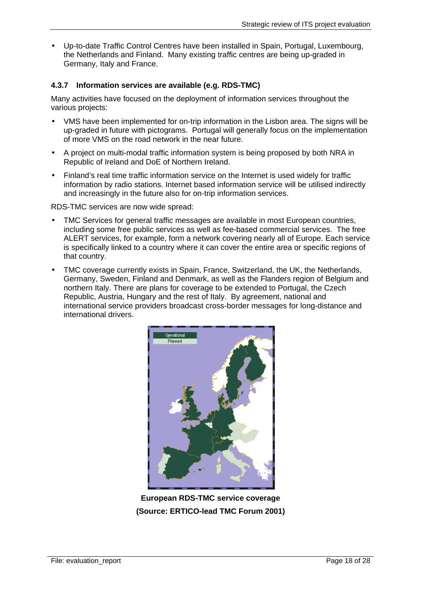• Up-to-date Traffic Control Centres have been installed in Spain, Portugal, Luxembourg, the Netherlands and Finland. Many existing traffic centres are being up-graded in Germany, Italy and France.

### **4.3.7 Information services are available (e.g. RDS-TMC)**

Many activities have focused on the deployment of information services throughout the various projects:

- VMS have been implemented for on-trip information in the Lisbon area. The signs will be up-graded in future with pictograms. Portugal will generally focus on the implementation of more VMS on the road network in the near future.
- A project on multi-modal traffic information system is being proposed by both NRA in Republic of Ireland and DoE of Northern Ireland.
- Finland's real time traffic information service on the Internet is used widely for traffic information by radio stations. Internet based information service will be utilised indirectly and increasingly in the future also for on-trip information services.

RDS-TMC services are now wide spread:

- TMC Services for general traffic messages are available in most European countries, including some free public services as well as fee-based commercial services. The free ALERT services, for example, form a network covering nearly all of Europe. Each service is specifically linked to a country where it can cover the entire area or specific regions of that country.
- TMC coverage currently exists in Spain, France, Switzerland, the UK, the Netherlands, Germany, Sweden, Finland and Denmark, as well as the Flanders region of Belgium and northern Italy. There are plans for coverage to be extended to Portugal, the Czech Republic, Austria, Hungary and the rest of Italy. By agreement, national and international service providers broadcast cross-border messages for long-distance and international drivers.



**European RDS-TMC service coverage (Source: ERTICO-lead TMC Forum 2001)**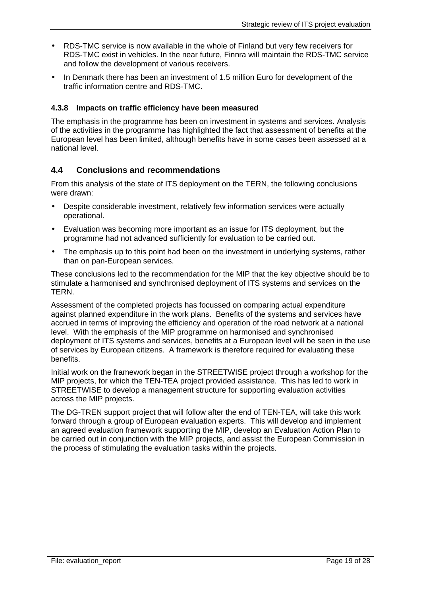- RDS-TMC service is now available in the whole of Finland but very few receivers for RDS-TMC exist in vehicles. In the near future, Finnra will maintain the RDS-TMC service and follow the development of various receivers.
- In Denmark there has been an investment of 1.5 million Euro for development of the traffic information centre and RDS-TMC.

### **4.3.8 Impacts on traffic efficiency have been measured**

The emphasis in the programme has been on investment in systems and services. Analysis of the activities in the programme has highlighted the fact that assessment of benefits at the European level has been limited, although benefits have in some cases been assessed at a national level.

### **4.4 Conclusions and recommendations**

From this analysis of the state of ITS deployment on the TERN, the following conclusions were drawn:

- Despite considerable investment, relatively few information services were actually operational.
- Evaluation was becoming more important as an issue for ITS deployment, but the programme had not advanced sufficiently for evaluation to be carried out.
- The emphasis up to this point had been on the investment in underlying systems, rather than on pan-European services.

These conclusions led to the recommendation for the MIP that the key objective should be to stimulate a harmonised and synchronised deployment of ITS systems and services on the TERN.

Assessment of the completed projects has focussed on comparing actual expenditure against planned expenditure in the work plans. Benefits of the systems and services have accrued in terms of improving the efficiency and operation of the road network at a national level. With the emphasis of the MIP programme on harmonised and synchronised deployment of ITS systems and services, benefits at a European level will be seen in the use of services by European citizens. A framework is therefore required for evaluating these benefits.

Initial work on the framework began in the STREETWISE project through a workshop for the MIP projects, for which the TEN-TEA project provided assistance. This has led to work in STREETWISE to develop a management structure for supporting evaluation activities across the MIP projects.

The DG-TREN support project that will follow after the end of TEN-TEA, will take this work forward through a group of European evaluation experts. This will develop and implement an agreed evaluation framework supporting the MIP, develop an Evaluation Action Plan to be carried out in conjunction with the MIP projects, and assist the European Commission in the process of stimulating the evaluation tasks within the projects.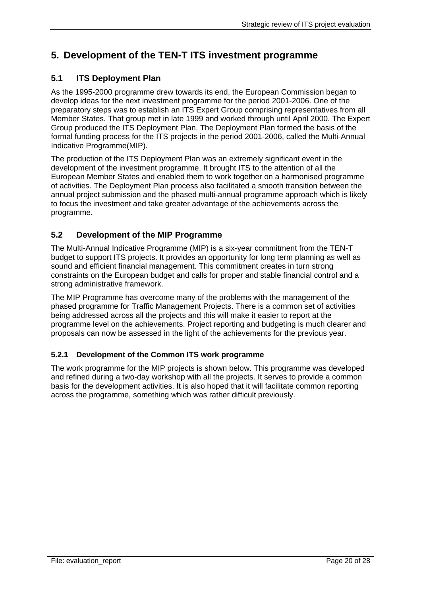# **5. Development of the TEN-T ITS investment programme**

### **5.1 ITS Deployment Plan**

As the 1995-2000 programme drew towards its end, the European Commission began to develop ideas for the next investment programme for the period 2001-2006. One of the preparatory steps was to establish an ITS Expert Group comprising representatives from all Member States. That group met in late 1999 and worked through until April 2000. The Expert Group produced the ITS Deployment Plan. The Deployment Plan formed the basis of the formal funding process for the ITS projects in the period 2001-2006, called the Multi-Annual Indicative Programme(MIP).

The production of the ITS Deployment Plan was an extremely significant event in the development of the investment programme. It brought ITS to the attention of all the European Member States and enabled them to work together on a harmonised programme of activities. The Deployment Plan process also facilitated a smooth transition between the annual project submission and the phased multi-annual programme approach which is likely to focus the investment and take greater advantage of the achievements across the programme.

### **5.2 Development of the MIP Programme**

The Multi-Annual Indicative Programme (MIP) is a six-year commitment from the TEN-T budget to support ITS projects. It provides an opportunity for long term planning as well as sound and efficient financial management. This commitment creates in turn strong constraints on the European budget and calls for proper and stable financial control and a strong administrative framework.

The MIP Programme has overcome many of the problems with the management of the phased programme for Traffic Management Projects. There is a common set of activities being addressed across all the projects and this will make it easier to report at the programme level on the achievements. Project reporting and budgeting is much clearer and proposals can now be assessed in the light of the achievements for the previous year.

### **5.2.1 Development of the Common ITS work programme**

The work programme for the MIP projects is shown below. This programme was developed and refined during a two-day workshop with all the projects. It serves to provide a common basis for the development activities. It is also hoped that it will facilitate common reporting across the programme, something which was rather difficult previously.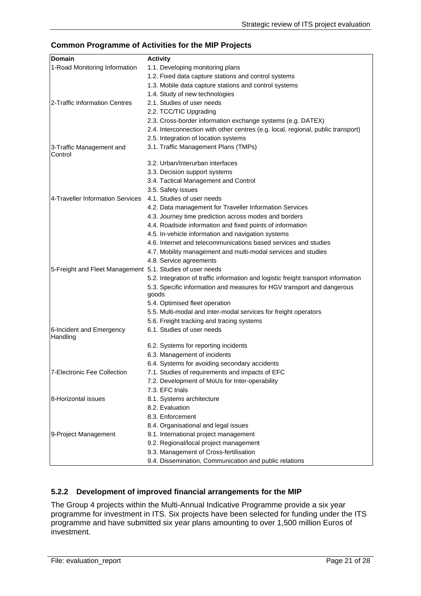#### **Common Programme of Activities for the MIP Projects**

| Domain                                                    | <b>Activity</b>                                                                    |
|-----------------------------------------------------------|------------------------------------------------------------------------------------|
| 1-Road Monitoring Information                             | 1.1. Developing monitoring plans                                                   |
|                                                           | 1.2. Fixed data capture stations and control systems                               |
|                                                           | 1.3. Mobile data capture stations and control systems                              |
|                                                           | 1.4. Study of new technologies                                                     |
| 2-Traffic Information Centres                             | 2.1. Studies of user needs                                                         |
|                                                           | 2.2. TCC/TIC Upgrading                                                             |
|                                                           | 2.3. Cross-border information exchange systems (e.g. DATEX)                        |
|                                                           | 2.4. Interconnection with other centres (e.g. local, regional, public transport)   |
|                                                           | 2.5. Integration of location systems                                               |
| 3-Traffic Management and<br>Control                       | 3.1. Traffic Management Plans (TMPs)                                               |
|                                                           | 3.2. Urban/Interurban interfaces                                                   |
|                                                           | 3.3. Decision support systems                                                      |
|                                                           | 3.4. Tactical Management and Control                                               |
|                                                           | 3.5. Safety issues                                                                 |
| 4-Traveller Information Services                          | 4.1. Studies of user needs                                                         |
|                                                           | 4.2. Data management for Traveller Information Services                            |
|                                                           | 4.3. Journey time prediction across modes and borders                              |
|                                                           | 4.4. Roadside information and fixed points of information                          |
|                                                           | 4.5. In-vehicle information and navigation systems                                 |
|                                                           | 4.6. Internet and telecommunications based services and studies                    |
|                                                           | 4.7. Mobility management and multi-modal services and studies                      |
|                                                           | 4.8. Service agreements                                                            |
| 5-Freight and Fleet Management 5.1. Studies of user needs |                                                                                    |
|                                                           | 5.2. Integration of traffic information and logistic freight transport information |
|                                                           | 5.3. Specific information and measures for HGV transport and dangerous<br>goods    |
|                                                           | 5.4. Optimised fleet operation                                                     |
|                                                           | 5.5. Multi-modal and inter-modal services for freight operators                    |
|                                                           | 5.6. Freight tracking and tracing systems                                          |
| 6-Incident and Emergency<br>Handling                      | 6.1. Studies of user needs                                                         |
|                                                           | 6.2. Systems for reporting incidents                                               |
|                                                           | 6.3. Management of incidents                                                       |
|                                                           | 6.4. Systems for avoiding secondary accidents                                      |
| 7-Electronic Fee Collection                               | 7.1. Studies of requirements and impacts of EFC                                    |
|                                                           | 7.2. Development of MoUs for Inter-operability                                     |
|                                                           | 7.3. EFC trials                                                                    |
| 8-Horizontal issues                                       | 8.1. Systems architecture                                                          |
|                                                           | 8.2. Evaluation                                                                    |
|                                                           | 8.3. Enforcement                                                                   |
|                                                           | 8.4. Organisational and legal issues                                               |
| 9-Project Management                                      | 9.1. International project management                                              |
|                                                           | 9.2. Regional/local project management                                             |
|                                                           | 9.3. Management of Cross-fertilisation                                             |
|                                                           | 9.4. Dissemination, Communication and public relations                             |

### **5.2.2 Development of improved financial arrangements for the MIP**

The Group 4 projects within the Multi-Annual Indicative Programme provide a six year programme for investment in ITS. Six projects have been selected for funding under the ITS programme and have submitted six year plans amounting to over 1,500 million Euros of investment.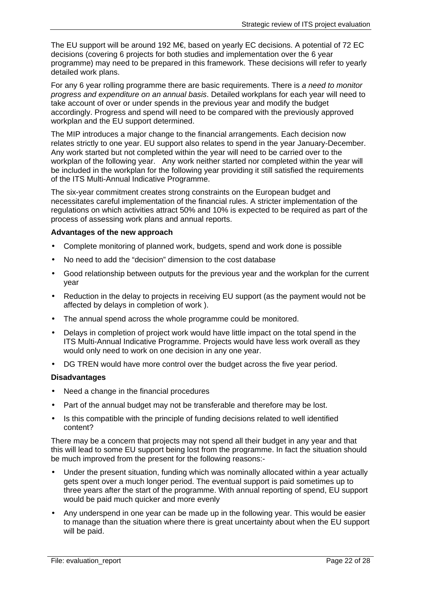The EU support will be around 192 M€, based on yearly EC decisions. A potential of 72 EC decisions (covering 6 projects for both studies and implementation over the 6 year programme) may need to be prepared in this framework. These decisions will refer to yearly detailed work plans.

For any 6 year rolling programme there are basic requirements. There is *a need to monitor progress and expenditure on an annual basis*. Detailed workplans for each year will need to take account of over or under spends in the previous year and modify the budget accordingly. Progress and spend will need to be compared with the previously approved workplan and the EU support determined.

The MIP introduces a major change to the financial arrangements. Each decision now relates strictly to one year. EU support also relates to spend in the year January-December. Any work started but not completed within the year will need to be carried over to the workplan of the following year. Any work neither started nor completed within the year will be included in the workplan for the following year providing it still satisfied the requirements of the ITS Multi-Annual Indicative Programme.

The six-year commitment creates strong constraints on the European budget and necessitates careful implementation of the financial rules. A stricter implementation of the regulations on which activities attract 50% and 10% is expected to be required as part of the process of assessing work plans and annual reports.

#### **Advantages of the new approach**

- Complete monitoring of planned work, budgets, spend and work done is possible
- No need to add the "decision" dimension to the cost database
- Good relationship between outputs for the previous year and the workplan for the current year
- Reduction in the delay to projects in receiving EU support (as the payment would not be affected by delays in completion of work ).
- The annual spend across the whole programme could be monitored.
- Delays in completion of project work would have little impact on the total spend in the ITS Multi-Annual Indicative Programme. Projects would have less work overall as they would only need to work on one decision in any one year.
- DG TREN would have more control over the budget across the five year period.

#### **Disadvantages**

- Need a change in the financial procedures
- Part of the annual budget may not be transferable and therefore may be lost.
- Is this compatible with the principle of funding decisions related to well identified content?

There may be a concern that projects may not spend all their budget in any year and that this will lead to some EU support being lost from the programme. In fact the situation should be much improved from the present for the following reasons:-

- Under the present situation, funding which was nominally allocated within a year actually gets spent over a much longer period. The eventual support is paid sometimes up to three years after the start of the programme. With annual reporting of spend, EU support would be paid much quicker and more evenly
- Any underspend in one year can be made up in the following year. This would be easier to manage than the situation where there is great uncertainty about when the EU support will be paid.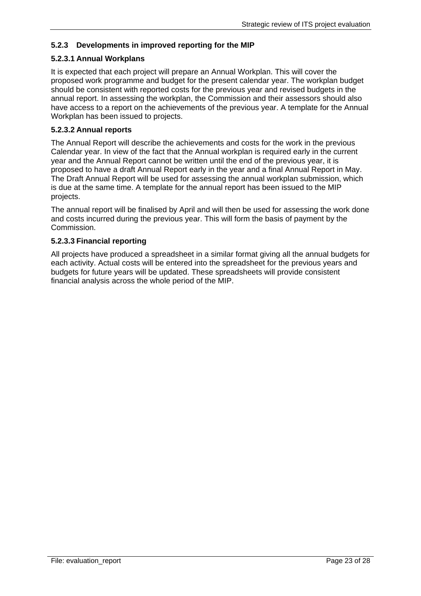### **5.2.3 Developments in improved reporting for the MIP**

### **5.2.3.1 Annual Workplans**

It is expected that each project will prepare an Annual Workplan. This will cover the proposed work programme and budget for the present calendar year. The workplan budget should be consistent with reported costs for the previous year and revised budgets in the annual report. In assessing the workplan, the Commission and their assessors should also have access to a report on the achievements of the previous year. A template for the Annual Workplan has been issued to projects.

#### **5.2.3.2 Annual reports**

The Annual Report will describe the achievements and costs for the work in the previous Calendar year. In view of the fact that the Annual workplan is required early in the current year and the Annual Report cannot be written until the end of the previous year, it is proposed to have a draft Annual Report early in the year and a final Annual Report in May. The Draft Annual Report will be used for assessing the annual workplan submission, which is due at the same time. A template for the annual report has been issued to the MIP projects.

The annual report will be finalised by April and will then be used for assessing the work done and costs incurred during the previous year. This will form the basis of payment by the Commission.

### **5.2.3.3 Financial reporting**

All projects have produced a spreadsheet in a similar format giving all the annual budgets for each activity. Actual costs will be entered into the spreadsheet for the previous years and budgets for future years will be updated. These spreadsheets will provide consistent financial analysis across the whole period of the MIP.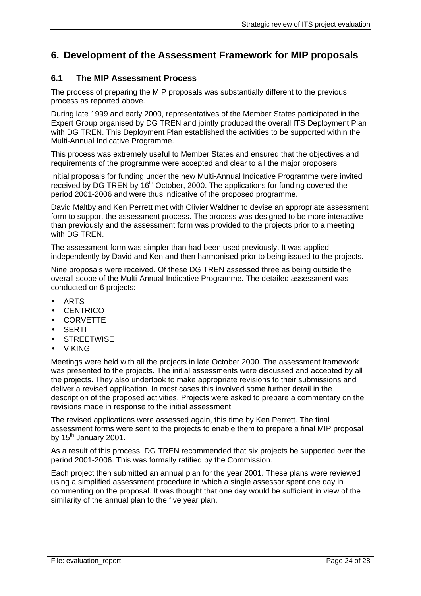## **6. Development of the Assessment Framework for MIP proposals**

### **6.1 The MIP Assessment Process**

The process of preparing the MIP proposals was substantially different to the previous process as reported above.

During late 1999 and early 2000, representatives of the Member States participated in the Expert Group organised by DG TREN and jointly produced the overall ITS Deployment Plan with DG TREN. This Deployment Plan established the activities to be supported within the Multi-Annual Indicative Programme.

This process was extremely useful to Member States and ensured that the objectives and requirements of the programme were accepted and clear to all the major proposers.

Initial proposals for funding under the new Multi-Annual Indicative Programme were invited received by DG TREN by  $16<sup>th</sup>$  October, 2000. The applications for funding covered the period 2001-2006 and were thus indicative of the proposed programme.

David Maltby and Ken Perrett met with Olivier Waldner to devise an appropriate assessment form to support the assessment process. The process was designed to be more interactive than previously and the assessment form was provided to the projects prior to a meeting with DG TREN.

The assessment form was simpler than had been used previously. It was applied independently by David and Ken and then harmonised prior to being issued to the projects.

Nine proposals were received. Of these DG TREN assessed three as being outside the overall scope of the Multi-Annual Indicative Programme. The detailed assessment was conducted on 6 projects:-

- ARTS
- **CENTRICO**
- CORVETTE
- **SERTI**
- **STREETWISE**
- VIKING

Meetings were held with all the projects in late October 2000. The assessment framework was presented to the projects. The initial assessments were discussed and accepted by all the projects. They also undertook to make appropriate revisions to their submissions and deliver a revised application. In most cases this involved some further detail in the description of the proposed activities. Projects were asked to prepare a commentary on the revisions made in response to the initial assessment.

The revised applications were assessed again, this time by Ken Perrett. The final assessment forms were sent to the projects to enable them to prepare a final MIP proposal by  $15^{th}$  January 2001.

As a result of this process, DG TREN recommended that six projects be supported over the period 2001-2006. This was formally ratified by the Commission.

Each project then submitted an annual plan for the year 2001. These plans were reviewed using a simplified assessment procedure in which a single assessor spent one day in commenting on the proposal. It was thought that one day would be sufficient in view of the similarity of the annual plan to the five year plan.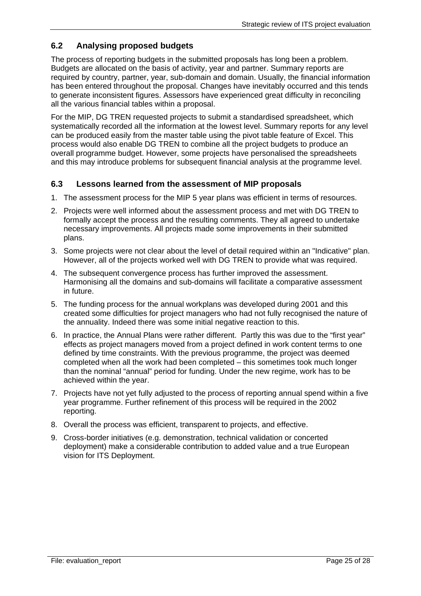### **6.2 Analysing proposed budgets**

The process of reporting budgets in the submitted proposals has long been a problem. Budgets are allocated on the basis of activity, year and partner. Summary reports are required by country, partner, year, sub-domain and domain. Usually, the financial information has been entered throughout the proposal. Changes have inevitably occurred and this tends to generate inconsistent figures. Assessors have experienced great difficulty in reconciling all the various financial tables within a proposal.

For the MIP, DG TREN requested projects to submit a standardised spreadsheet, which systematically recorded all the information at the lowest level. Summary reports for any level can be produced easily from the master table using the pivot table feature of Excel. This process would also enable DG TREN to combine all the project budgets to produce an overall programme budget. However, some projects have personalised the spreadsheets and this may introduce problems for subsequent financial analysis at the programme level.

### **6.3 Lessons learned from the assessment of MIP proposals**

- 1. The assessment process for the MIP 5 year plans was efficient in terms of resources.
- 2. Projects were well informed about the assessment process and met with DG TREN to formally accept the process and the resulting comments. They all agreed to undertake necessary improvements. All projects made some improvements in their submitted plans.
- 3. Some projects were not clear about the level of detail required within an "Indicative" plan. However, all of the projects worked well with DG TREN to provide what was required.
- 4. The subsequent convergence process has further improved the assessment. Harmonising all the domains and sub-domains will facilitate a comparative assessment in future.
- 5. The funding process for the annual workplans was developed during 2001 and this created some difficulties for project managers who had not fully recognised the nature of the annuality. Indeed there was some initial negative reaction to this.
- 6. In practice, the Annual Plans were rather different. Partly this was due to the "first year" effects as project managers moved from a project defined in work content terms to one defined by time constraints. With the previous programme, the project was deemed completed when all the work had been completed – this sometimes took much longer than the nominal "annual" period for funding. Under the new regime, work has to be achieved within the year.
- 7. Projects have not yet fully adjusted to the process of reporting annual spend within a five year programme. Further refinement of this process will be required in the 2002 reporting.
- 8. Overall the process was efficient, transparent to projects, and effective.
- 9. Cross-border initiatives (e.g. demonstration, technical validation or concerted deployment) make a considerable contribution to added value and a true European vision for ITS Deployment.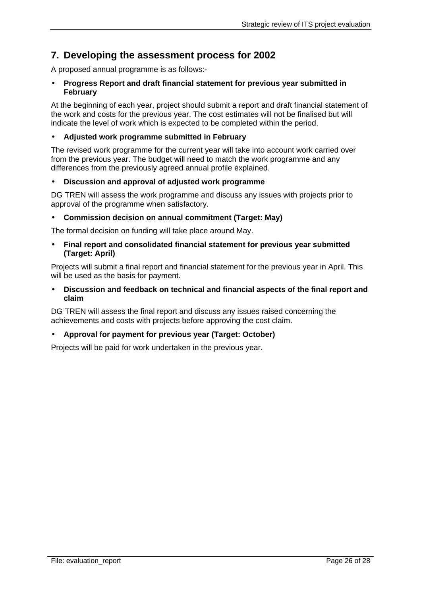# **7. Developing the assessment process for 2002**

A proposed annual programme is as follows:-

#### • **Progress Report and draft financial statement for previous year submitted in February**

At the beginning of each year, project should submit a report and draft financial statement of the work and costs for the previous year. The cost estimates will not be finalised but will indicate the level of work which is expected to be completed within the period.

### • **Adjusted work programme submitted in February**

The revised work programme for the current year will take into account work carried over from the previous year. The budget will need to match the work programme and any differences from the previously agreed annual profile explained.

### • **Discussion and approval of adjusted work programme**

DG TREN will assess the work programme and discuss any issues with projects prior to approval of the programme when satisfactory.

#### • **Commission decision on annual commitment (Target: May)**

The formal decision on funding will take place around May.

• **Final report and consolidated financial statement for previous year submitted (Target: April)** 

Projects will submit a final report and financial statement for the previous year in April. This will be used as the basis for payment.

• **Discussion and feedback on technical and financial aspects of the final report and claim** 

DG TREN will assess the final report and discuss any issues raised concerning the achievements and costs with projects before approving the cost claim.

#### • **Approval for payment for previous year (Target: October)**

Projects will be paid for work undertaken in the previous year.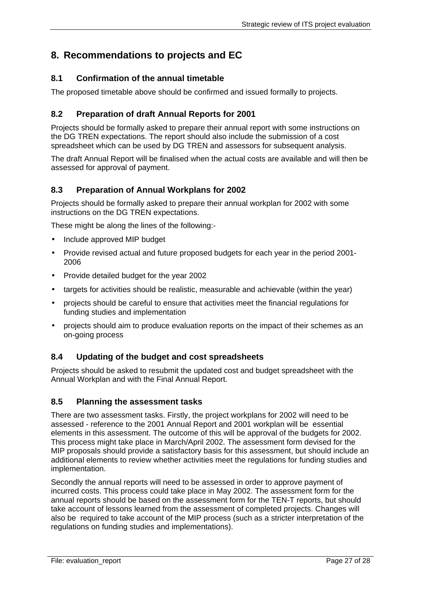# **8. Recommendations to projects and EC**

### **8.1 Confirmation of the annual timetable**

The proposed timetable above should be confirmed and issued formally to projects.

### **8.2 Preparation of draft Annual Reports for 2001**

Projects should be formally asked to prepare their annual report with some instructions on the DG TREN expectations. The report should also include the submission of a cost spreadsheet which can be used by DG TREN and assessors for subsequent analysis.

The draft Annual Report will be finalised when the actual costs are available and will then be assessed for approval of payment.

### **8.3 Preparation of Annual Workplans for 2002**

Projects should be formally asked to prepare their annual workplan for 2002 with some instructions on the DG TREN expectations.

These might be along the lines of the following:-

- Include approved MIP budget
- Provide revised actual and future proposed budgets for each year in the period 2001- 2006
- Provide detailed budget for the year 2002
- targets for activities should be realistic, measurable and achievable (within the year)
- projects should be careful to ensure that activities meet the financial regulations for funding studies and implementation
- projects should aim to produce evaluation reports on the impact of their schemes as an on-going process

### **8.4 Updating of the budget and cost spreadsheets**

Projects should be asked to resubmit the updated cost and budget spreadsheet with the Annual Workplan and with the Final Annual Report.

### **8.5 Planning the assessment tasks**

There are two assessment tasks. Firstly, the project workplans for 2002 will need to be assessed - reference to the 2001 Annual Report and 2001 workplan will be essential elements in this assessment. The outcome of this will be approval of the budgets for 2002. This process might take place in March/April 2002. The assessment form devised for the MIP proposals should provide a satisfactory basis for this assessment, but should include an additional elements to review whether activities meet the regulations for funding studies and implementation.

Secondly the annual reports will need to be assessed in order to approve payment of incurred costs. This process could take place in May 2002. The assessment form for the annual reports should be based on the assessment form for the TEN-T reports, but should take account of lessons learned from the assessment of completed projects. Changes will also be required to take account of the MIP process (such as a stricter interpretation of the regulations on funding studies and implementations).